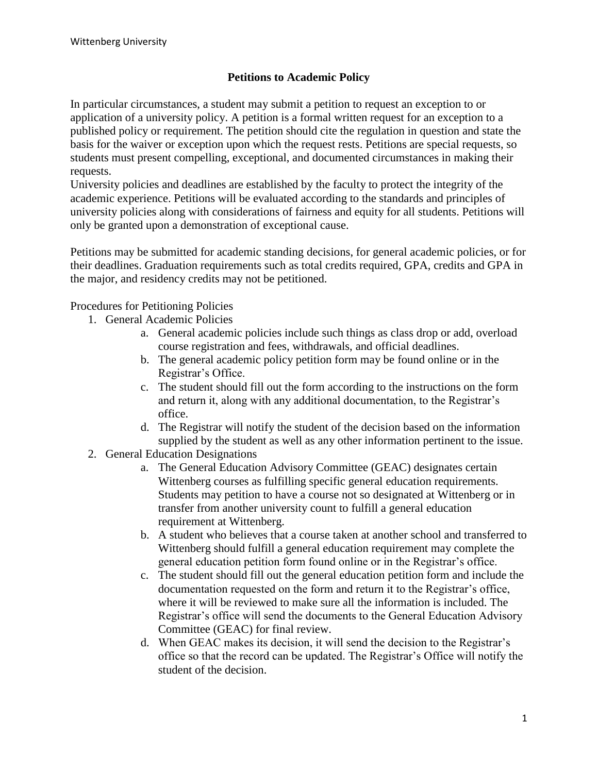## **Petitions to Academic Policy**

In particular circumstances, a student may submit a petition to request an exception to or application of a university policy. A petition is a formal written request for an exception to a published policy or requirement. The petition should cite the regulation in question and state the basis for the waiver or exception upon which the request rests. Petitions are special requests, so students must present compelling, exceptional, and documented circumstances in making their requests.

University policies and deadlines are established by the faculty to protect the integrity of the academic experience. Petitions will be evaluated according to the standards and principles of university policies along with considerations of fairness and equity for all students. Petitions will only be granted upon a demonstration of exceptional cause.

Petitions may be submitted for academic standing decisions, for general academic policies, or for their deadlines. Graduation requirements such as total credits required, GPA, credits and GPA in the major, and residency credits may not be petitioned.

Procedures for Petitioning Policies

- 1. General Academic Policies
	- a. General academic policies include such things as class drop or add, overload course registration and fees, withdrawals, and official deadlines.
	- b. The general academic policy petition form may be found online or in the Registrar's Office.
	- c. The student should fill out the form according to the instructions on the form and return it, along with any additional documentation, to the Registrar's office.
	- d. The Registrar will notify the student of the decision based on the information supplied by the student as well as any other information pertinent to the issue.
- 2. General Education Designations
	- a. The General Education Advisory Committee (GEAC) designates certain Wittenberg courses as fulfilling specific general education requirements. Students may petition to have a course not so designated at Wittenberg or in transfer from another university count to fulfill a general education requirement at Wittenberg.
	- b. A student who believes that a course taken at another school and transferred to Wittenberg should fulfill a general education requirement may complete the general education petition form found online or in the Registrar's office.
	- c. The student should fill out the general education petition form and include the documentation requested on the form and return it to the Registrar's office, where it will be reviewed to make sure all the information is included. The Registrar's office will send the documents to the General Education Advisory Committee (GEAC) for final review.
	- d. When GEAC makes its decision, it will send the decision to the Registrar's office so that the record can be updated. The Registrar's Office will notify the student of the decision.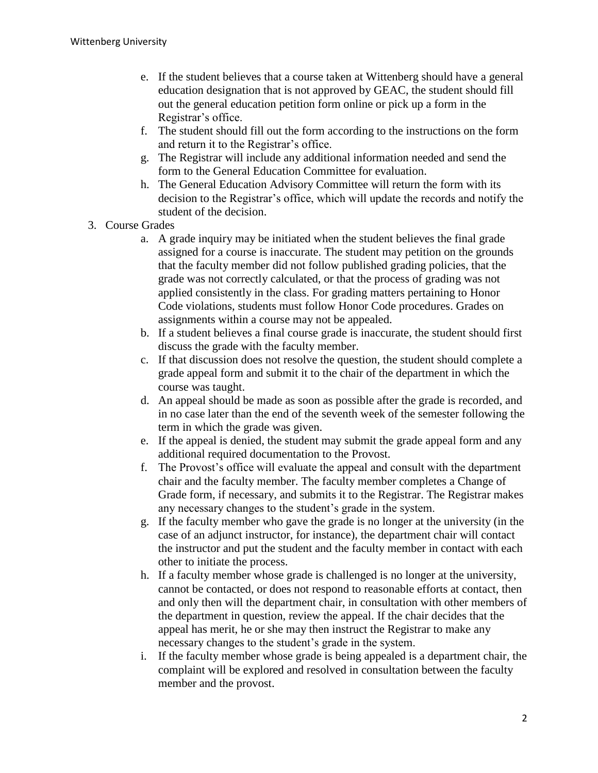- e. If the student believes that a course taken at Wittenberg should have a general education designation that is not approved by GEAC, the student should fill out the general education petition form online or pick up a form in the Registrar's office.
- f. The student should fill out the form according to the instructions on the form and return it to the Registrar's office.
- g. The Registrar will include any additional information needed and send the form to the General Education Committee for evaluation.
- h. The General Education Advisory Committee will return the form with its decision to the Registrar's office, which will update the records and notify the student of the decision.
- 3. Course Grades
	- a. A grade inquiry may be initiated when the student believes the final grade assigned for a course is inaccurate. The student may petition on the grounds that the faculty member did not follow published grading policies, that the grade was not correctly calculated, or that the process of grading was not applied consistently in the class. For grading matters pertaining to Honor Code violations, students must follow Honor Code procedures. Grades on assignments within a course may not be appealed.
	- b. If a student believes a final course grade is inaccurate, the student should first discuss the grade with the faculty member.
	- c. If that discussion does not resolve the question, the student should complete a grade appeal form and submit it to the chair of the department in which the course was taught.
	- d. An appeal should be made as soon as possible after the grade is recorded, and in no case later than the end of the seventh week of the semester following the term in which the grade was given.
	- e. If the appeal is denied, the student may submit the grade appeal form and any additional required documentation to the Provost.
	- f. The Provost's office will evaluate the appeal and consult with the department chair and the faculty member. The faculty member completes a Change of Grade form, if necessary, and submits it to the Registrar. The Registrar makes any necessary changes to the student's grade in the system.
	- g. If the faculty member who gave the grade is no longer at the university (in the case of an adjunct instructor, for instance), the department chair will contact the instructor and put the student and the faculty member in contact with each other to initiate the process.
	- h. If a faculty member whose grade is challenged is no longer at the university, cannot be contacted, or does not respond to reasonable efforts at contact, then and only then will the department chair, in consultation with other members of the department in question, review the appeal. If the chair decides that the appeal has merit, he or she may then instruct the Registrar to make any necessary changes to the student's grade in the system.
	- i. If the faculty member whose grade is being appealed is a department chair, the complaint will be explored and resolved in consultation between the faculty member and the provost.